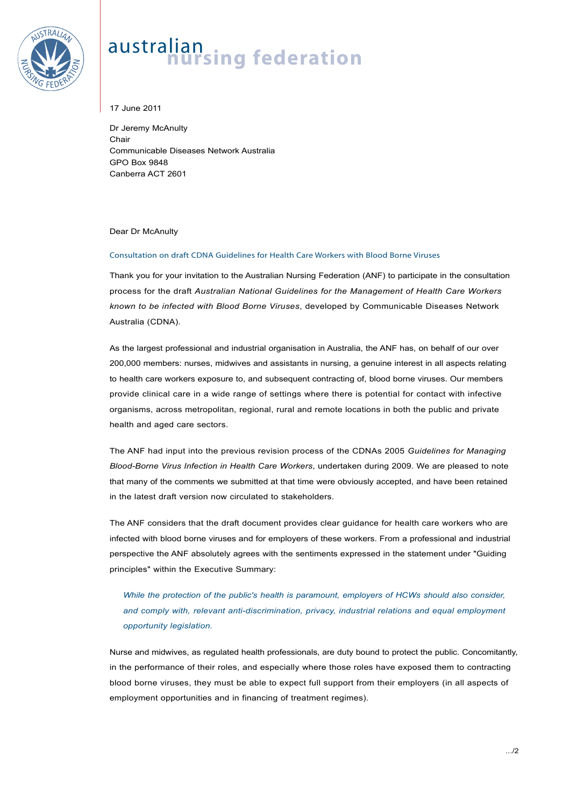

## australian<br>**nursing federation**

17 June 2011

Dr Jeremy McAnulty Chair Communicable Diseases Network Australia GPO Box 9848 Canberra ACT 2601

Dear Dr McAnulty

## Consultation on draft CDNA Guidelines for Health Care Workers with Blood Borne Viruses

Thank you for your invitation to the Australian Nursing Federation (ANF) to participate in the consultation process for the draft *Australian National Guidelines for the Management of Health Care Workers known to be infected with Blood Borne Viruses*, developed by Communicable Diseases Network Australia (CDNA).

As the largest professional and industrial organisation in Australia, the ANF has, on behalf of our over 200,000 members: nurses, midwives and assistants in nursing, a genuine interest in all aspects relating to health care workers exposure to, and subsequent contracting of, blood borne viruses. Our members provide clinical care in a wide range of settings where there is potential for contact with infective organisms, across metropolitan, regional, rural and remote locations in both the public and private health and aged care sectors.

The ANF had input into the previous revision process of the CDNAs 2005 *Guidelines for Managing Blood-Borne Virus Infection in Health Care Workers*, undertaken during 2009. We are pleased to note that many of the comments we submitted at that time were obviously accepted, and have been retained in the latest draft version now circulated to stakeholders.

The ANF considers that the draft document provides clear guidance for health care workers who are infected with blood borne viruses and for employers of these workers. From a professional and industrial perspective the ANF absolutely agrees with the sentiments expressed in the statement under "Guiding principles" within the Executive Summary:

*While the protection of the public's health is paramount, employers of HCWs should also consider, and comply with, relevant anti-discrimination, privacy, industrial relations and equal employment opportunity legislation.* 

Nurse and midwives, as regulated health professionals, are duty bound to protect the public. Concomitantly, in the performance of their roles, and especially where those roles have exposed them to contracting blood borne viruses, they must be able to expect full support from their employers (in all aspects of employment opportunities and in financing of treatment regimes).